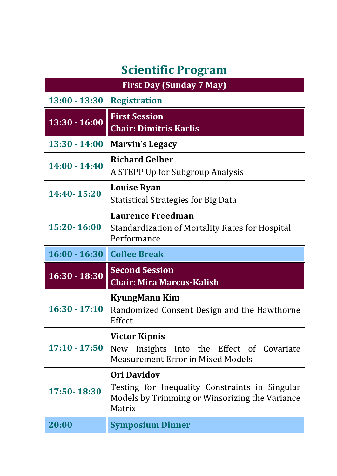| <b>Scientific Program</b>       |                                                                                                                                  |  |
|---------------------------------|----------------------------------------------------------------------------------------------------------------------------------|--|
| <b>First Day (Sunday 7 May)</b> |                                                                                                                                  |  |
| $13:00 - 13:30$                 | <b>Registration</b>                                                                                                              |  |
| $13:30 - 16:00$                 | <b>First Session</b><br><b>Chair: Dimitris Karlis</b>                                                                            |  |
| $13:30 - 14:00$                 | <b>Marvin's Legacy</b>                                                                                                           |  |
| $14:00 - 14:40$                 | <b>Richard Gelber</b><br>A STEPP Up for Subgroup Analysis                                                                        |  |
| 14:40-15:20                     | <b>Louise Ryan</b><br>Statistical Strategies for Big Data                                                                        |  |
| 15:20-16:00                     | <b>Laurence Freedman</b><br><b>Standardization of Mortality Rates for Hospital</b><br>Performance                                |  |
|                                 |                                                                                                                                  |  |
| 16:00 - 16:30 Coffee Break      |                                                                                                                                  |  |
| $16:30 - 18:30$                 | <b>Second Session</b><br><b>Chair: Mira Marcus-Kalish</b>                                                                        |  |
| $16:30 - 17:10$                 | <b>KyungMann Kim</b><br>Randomized Consent Design and the Hawthorne<br>Effect                                                    |  |
| $17:10 - 17:50$                 | <b>Victor Kipnis</b><br>New Insights into the Effect of Covariate<br><b>Measurement Error in Mixed Models</b>                    |  |
| 17:50-18:30                     | <b>Ori Davidov</b><br>Testing for Inequality Constraints in Singular<br>Models by Trimming or Winsorizing the Variance<br>Matrix |  |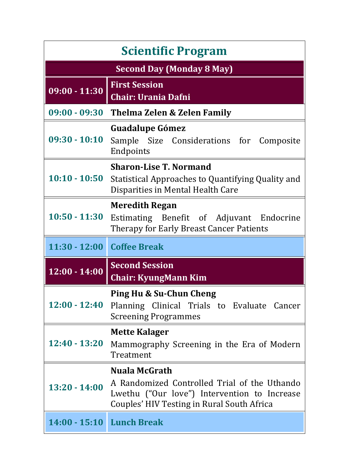| <b>Scientific Program</b>        |                                                                                                                                                                    |  |
|----------------------------------|--------------------------------------------------------------------------------------------------------------------------------------------------------------------|--|
| <b>Second Day (Monday 8 May)</b> |                                                                                                                                                                    |  |
| $09:00 - 11:30$                  | <b>First Session</b><br><b>Chair: Urania Dafni</b>                                                                                                                 |  |
| $09:00 - 09:30$                  | <b>Thelma Zelen &amp; Zelen Family</b>                                                                                                                             |  |
| $09:30 - 10:10$                  | <b>Guadalupe Gómez</b><br>Sample Size Considerations for Composite<br>Endpoints                                                                                    |  |
| $10:10 - 10:50$                  | <b>Sharon-Lise T. Normand</b><br>Statistical Approaches to Quantifying Quality and<br>Disparities in Mental Health Care                                            |  |
| $10:50 - 11:30$                  | <b>Meredith Regan</b><br>Estimating Benefit of Adjuvant Endocrine<br>Therapy for Early Breast Cancer Patients                                                      |  |
| 11:30 - 12:00 Coffee Break       |                                                                                                                                                                    |  |
|                                  |                                                                                                                                                                    |  |
| $12:00 - 14:00$                  | <b>Second Session</b><br><b>Chair: KyungMann Kim</b>                                                                                                               |  |
| $12:00 - 12:40$                  | <b>Ping Hu &amp; Su-Chun Cheng</b><br>Planning Clinical Trials to Evaluate Cancer<br><b>Screening Programmes</b>                                                   |  |
| 12:40 - 13:20                    | <b>Mette Kalager</b><br>Mammography Screening in the Era of Modern<br>Treatment                                                                                    |  |
| $13:20 - 14:00$                  | <b>Nuala McGrath</b><br>A Randomized Controlled Trial of the Uthando<br>Lwethu ("Our love") Intervention to Increase<br>Couples' HIV Testing in Rural South Africa |  |